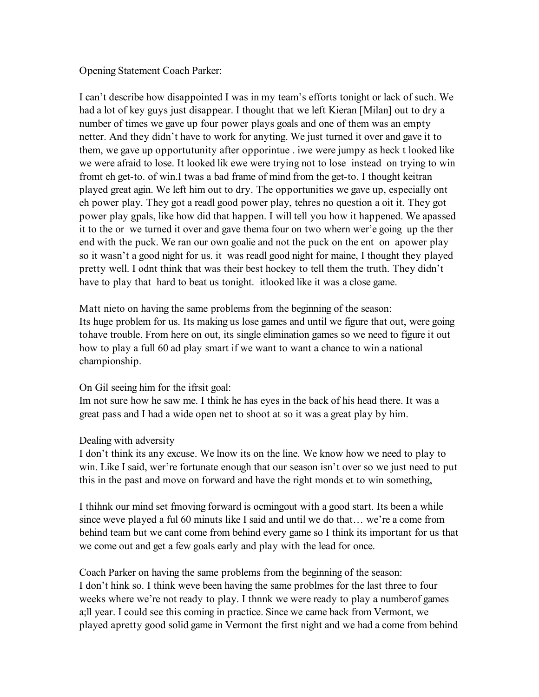Opening Statement Coach Parker:

I can't describe how disappointed I was in my team's efforts tonight or lack of such. We had a lot of key guys just disappear. I thought that we left Kieran [Milan] out to dry a number of times we gave up four power plays goals and one of them was an empty netter. And they didn't have to work for anyting. We just turned it over and gave it to them, we gave up opportutunity after opporintue . iwe were jumpy as heck t looked like we were afraid to lose. It looked lik ewe were trying not to lose instead on trying to win fromt eh get-to. of win.I twas a bad frame of mind from the get-to. I thought keitran played great agin. We left him out to dry. The opportunities we gave up, especially ont eh power play. They got a readl good power play, tehres no question a oit it. They got power play gpals, like how did that happen. I will tell you how it happened. We apassed it to the or we turned it over and gave thema four on two whern wer'e going up the ther end with the puck. We ran our own goalie and not the puck on the ent on apower play so it wasn't a good night for us. it was readl good night for maine, I thought they played pretty well. I odnt think that was their best hockey to tell them the truth. They didn't have to play that hard to beat us tonight. itlooked like it was a close game.

Matt nieto on having the same problems from the beginning of the season: Its huge problem for us. Its making us lose games and until we figure that out, were going tohave trouble. From here on out, its single elimination games so we need to figure it out how to play a full 60 ad play smart if we want to want a chance to win a national championship.

## On Gil seeing him for the ifrsit goal:

Im not sure how he saw me. I think he has eyes in the back of his head there. It was a great pass and I had a wide open net to shoot at so it was a great play by him.

## Dealing with adversity

I don't think its any excuse. We lnow its on the line. We know how we need to play to win. Like I said, wer're fortunate enough that our season isn't over so we just need to put this in the past and move on forward and have the right monds et to win something,

I thihnk our mind set fmoving forward is ocmingout with a good start. Its been a while since weve played a ful 60 minuts like I said and until we do that… we're a come from behind team but we cant come from behind every game so I think its important for us that we come out and get a few goals early and play with the lead for once.

Coach Parker on having the same problems from the beginning of the season: I don't hink so. I think weve been having the same problmes for the last three to four weeks where we're not ready to play. I thnnk we were ready to play a numberof games a;ll year. I could see this coming in practice. Since we came back from Vermont, we played apretty good solid game in Vermont the first night and we had a come from behind